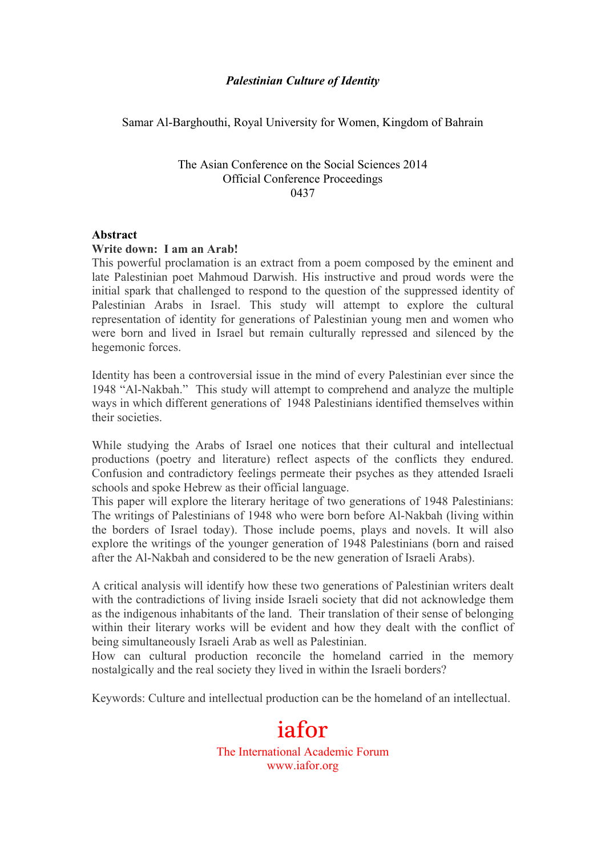## *Palestinian Culture of Identity*

Samar Al-Barghouthi, Royal University for Women, Kingdom of Bahrain

The Asian Conference on the Social Sciences 2014 Official Conference Proceedings 0437

#### **Abstract**

#### **Write down: I am an Arab!**

This powerful proclamation is an extract from a poem composed by the eminent and late Palestinian poet Mahmoud Darwish. His instructive and proud words were the initial spark that challenged to respond to the question of the suppressed identity of Palestinian Arabs in Israel. This study will attempt to explore the cultural representation of identity for generations of Palestinian young men and women who were born and lived in Israel but remain culturally repressed and silenced by the hegemonic forces.

Identity has been a controversial issue in the mind of every Palestinian ever since the 1948 "Al-Nakbah." This study will attempt to comprehend and analyze the multiple ways in which different generations of 1948 Palestinians identified themselves within their societies.

While studying the Arabs of Israel one notices that their cultural and intellectual productions (poetry and literature) reflect aspects of the conflicts they endured. Confusion and contradictory feelings permeate their psyches as they attended Israeli schools and spoke Hebrew as their official language.

This paper will explore the literary heritage of two generations of 1948 Palestinians: The writings of Palestinians of 1948 who were born before Al-Nakbah (living within the borders of Israel today). Those include poems, plays and novels. It will also explore the writings of the younger generation of 1948 Palestinians (born and raised after the Al-Nakbah and considered to be the new generation of Israeli Arabs).

A critical analysis will identify how these two generations of Palestinian writers dealt with the contradictions of living inside Israeli society that did not acknowledge them as the indigenous inhabitants of the land. Their translation of their sense of belonging within their literary works will be evident and how they dealt with the conflict of being simultaneously Israeli Arab as well as Palestinian.

How can cultural production reconcile the homeland carried in the memory nostalgically and the real society they lived in within the Israeli borders?

Keywords: Culture and intellectual production can be the homeland of an intellectual.

iafor The International Academic Forum www.iafor.org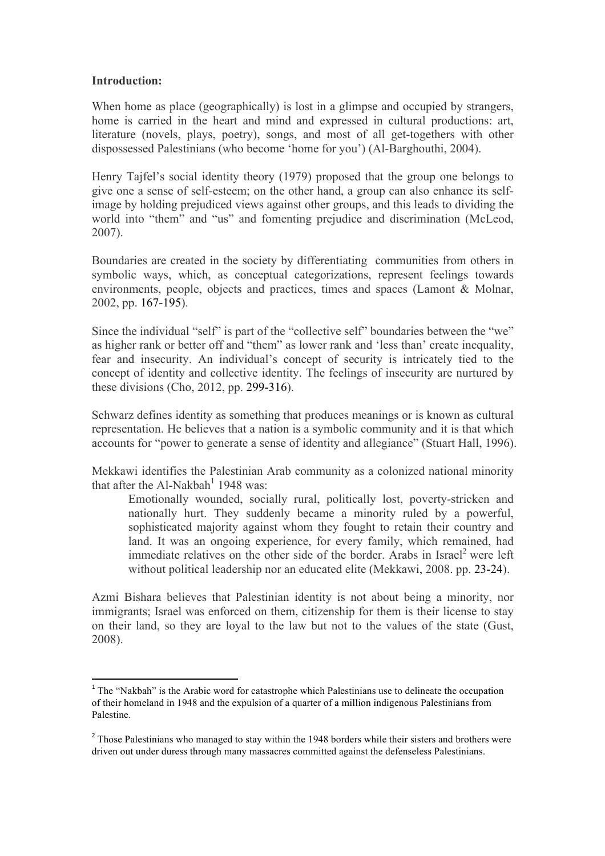### **Introduction:**

When home as place (geographically) is lost in a glimpse and occupied by strangers, home is carried in the heart and mind and expressed in cultural productions: art, literature (novels, plays, poetry), songs, and most of all get-togethers with other dispossessed Palestinians (who become 'home for you') (Al-Barghouthi, 2004).

Henry Tajfel's social identity theory (1979) proposed that the group one belongs to give one a sense of self-esteem; on the other hand, a group can also enhance its selfimage by holding prejudiced views against other groups, and this leads to dividing the world into "them" and "us" and fomenting prejudice and discrimination (McLeod, 2007).

Boundaries are created in the society by differentiating communities from others in symbolic ways, which, as conceptual categorizations, represent feelings towards environments, people, objects and practices, times and spaces (Lamont & Molnar, 2002, pp. 167-195).

Since the individual "self" is part of the "collective self" boundaries between the "we" as higher rank or better off and "them" as lower rank and 'less than' create inequality, fear and insecurity. An individual's concept of security is intricately tied to the concept of identity and collective identity. The feelings of insecurity are nurtured by these divisions (Cho, 2012, pp. 299-316).

Schwarz defines identity as something that produces meanings or is known as cultural representation. He believes that a nation is a symbolic community and it is that which accounts for "power to generate a sense of identity and allegiance" (Stuart Hall, 1996).

Mekkawi identifies the Palestinian Arab community as a colonized national minority that after the Al-Nakhah<sup>1</sup> 1948 was:

Emotionally wounded, socially rural, politically lost, poverty-stricken and nationally hurt. They suddenly became a minority ruled by a powerful, sophisticated majority against whom they fought to retain their country and land. It was an ongoing experience, for every family, which remained, had immediate relatives on the other side of the border. Arabs in Israel<sup>2</sup> were left without political leadership nor an educated elite (Mekkawi, 2008. pp. 23-24).

Azmi Bishara believes that Palestinian identity is not about being a minority, nor immigrants; Israel was enforced on them, citizenship for them is their license to stay on their land, so they are loyal to the law but not to the values of the state (Gust, 2008).

<u> 1989 - Johann Stein, mars et al. 1989 - Anna ann an t-Anna ann an t-Anna ann an t-Anna ann an t-Anna ann an t-</u>

<sup>&</sup>lt;sup>1</sup> The "Nakbah" is the Arabic word for catastrophe which Palestinians use to delineate the occupation of their homeland in 1948 and the expulsion of a quarter of a million indigenous Palestinians from Palestine.

<sup>&</sup>lt;sup>2</sup> Those Palestinians who managed to stay within the 1948 borders while their sisters and brothers were driven out under duress through many massacres committed against the defenseless Palestinians.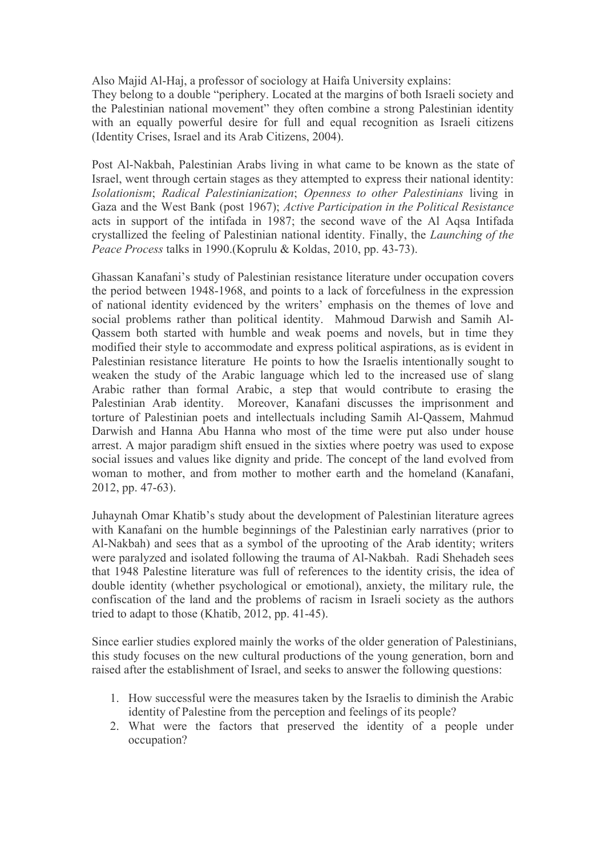Also Majid Al-Haj, a professor of sociology at Haifa University explains:

They belong to a double "periphery. Located at the margins of both Israeli society and the Palestinian national movement" they often combine a strong Palestinian identity with an equally powerful desire for full and equal recognition as Israeli citizens (Identity Crises, Israel and its Arab Citizens, 2004).

Post Al-Nakbah, Palestinian Arabs living in what came to be known as the state of Israel, went through certain stages as they attempted to express their national identity: *Isolationism*; *Radical Palestinianization*; *Openness to other Palestinians* living in Gaza and the West Bank (post 1967); *Active Participation in the Political Resistance* acts in support of the intifada in 1987; the second wave of the Al Aqsa Intifada crystallized the feeling of Palestinian national identity. Finally, the *Launching of the Peace Process* talks in 1990.(Koprulu & Koldas, 2010, pp. 43-73).

Ghassan Kanafani's study of Palestinian resistance literature under occupation covers the period between 1948-1968, and points to a lack of forcefulness in the expression of national identity evidenced by the writers' emphasis on the themes of love and social problems rather than political identity. Mahmoud Darwish and Samih Al-Qassem both started with humble and weak poems and novels, but in time they modified their style to accommodate and express political aspirations, as is evident in Palestinian resistance literature He points to how the Israelis intentionally sought to weaken the study of the Arabic language which led to the increased use of slang Arabic rather than formal Arabic, a step that would contribute to erasing the Palestinian Arab identity. Moreover, Kanafani discusses the imprisonment and torture of Palestinian poets and intellectuals including Samih Al-Qassem, Mahmud Darwish and Hanna Abu Hanna who most of the time were put also under house arrest. A major paradigm shift ensued in the sixties where poetry was used to expose social issues and values like dignity and pride. The concept of the land evolved from woman to mother, and from mother to mother earth and the homeland (Kanafani, 2012, pp. 47-63).

Juhaynah Omar Khatib's study about the development of Palestinian literature agrees with Kanafani on the humble beginnings of the Palestinian early narratives (prior to Al-Nakbah) and sees that as a symbol of the uprooting of the Arab identity; writers were paralyzed and isolated following the trauma of Al-Nakbah. Radi Shehadeh sees that 1948 Palestine literature was full of references to the identity crisis, the idea of double identity (whether psychological or emotional), anxiety, the military rule, the confiscation of the land and the problems of racism in Israeli society as the authors tried to adapt to those (Khatib, 2012, pp. 41-45).

Since earlier studies explored mainly the works of the older generation of Palestinians, this study focuses on the new cultural productions of the young generation, born and raised after the establishment of Israel, and seeks to answer the following questions:

- 1. How successful were the measures taken by the Israelis to diminish the Arabic identity of Palestine from the perception and feelings of its people?
- 2. What were the factors that preserved the identity of a people under occupation?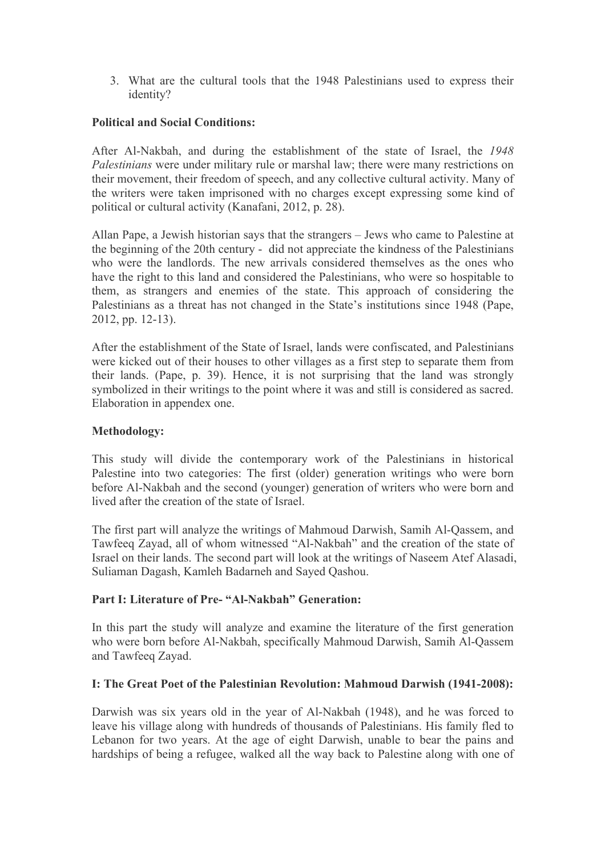3. What are the cultural tools that the 1948 Palestinians used to express their identity?

# **Political and Social Conditions:**

After Al-Nakbah, and during the establishment of the state of Israel, the *1948 Palestinians* were under military rule or marshal law; there were many restrictions on their movement, their freedom of speech, and any collective cultural activity. Many of the writers were taken imprisoned with no charges except expressing some kind of political or cultural activity (Kanafani, 2012, p. 28).

Allan Pape, a Jewish historian says that the strangers – Jews who came to Palestine at the beginning of the 20th century - did not appreciate the kindness of the Palestinians who were the landlords. The new arrivals considered themselves as the ones who have the right to this land and considered the Palestinians, who were so hospitable to them, as strangers and enemies of the state. This approach of considering the Palestinians as a threat has not changed in the State's institutions since 1948 (Pape, 2012, pp. 12-13).

After the establishment of the State of Israel, lands were confiscated, and Palestinians were kicked out of their houses to other villages as a first step to separate them from their lands. (Pape, p. 39). Hence, it is not surprising that the land was strongly symbolized in their writings to the point where it was and still is considered as sacred. Elaboration in appendex one.

### **Methodology:**

This study will divide the contemporary work of the Palestinians in historical Palestine into two categories: The first (older) generation writings who were born before Al-Nakbah and the second (younger) generation of writers who were born and lived after the creation of the state of Israel.

The first part will analyze the writings of Mahmoud Darwish, Samih Al-Qassem, and Tawfeeq Zayad, all of whom witnessed "Al-Nakbah" and the creation of the state of Israel on their lands. The second part will look at the writings of Naseem Atef Alasadi, Suliaman Dagash, Kamleh Badarneh and Sayed Qashou.

# **Part I: Literature of Pre- "Al-Nakbah" Generation:**

In this part the study will analyze and examine the literature of the first generation who were born before Al-Nakbah, specifically Mahmoud Darwish, Samih Al-Qassem and Tawfeeq Zayad.

# **I: The Great Poet of the Palestinian Revolution: Mahmoud Darwish (1941-2008):**

Darwish was six years old in the year of Al-Nakbah (1948), and he was forced to leave his village along with hundreds of thousands of Palestinians. His family fled to Lebanon for two years. At the age of eight Darwish, unable to bear the pains and hardships of being a refugee, walked all the way back to Palestine along with one of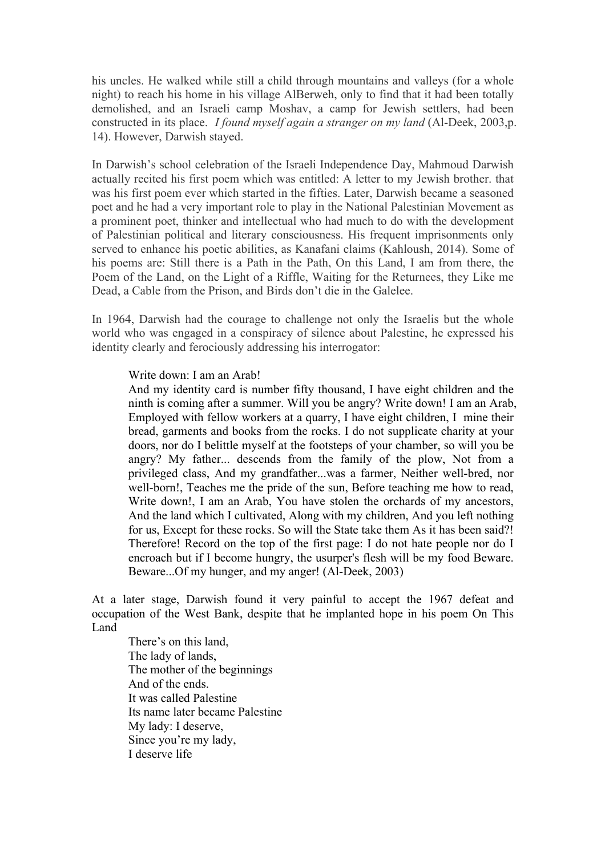his uncles. He walked while still a child through mountains and valleys (for a whole night) to reach his home in his village AlBerweh, only to find that it had been totally demolished, and an Israeli camp Moshav, a camp for Jewish settlers, had been constructed in its place. *I found myself again a stranger on my land* (Al-Deek, 2003,p. 14). However, Darwish stayed.

In Darwish's school celebration of the Israeli Independence Day, Mahmoud Darwish actually recited his first poem which was entitled: A letter to my Jewish brother. that was his first poem ever which started in the fifties. Later, Darwish became a seasoned poet and he had a very important role to play in the National Palestinian Movement as a prominent poet, thinker and intellectual who had much to do with the development of Palestinian political and literary consciousness. His frequent imprisonments only served to enhance his poetic abilities, as Kanafani claims (Kahloush, 2014). Some of his poems are: Still there is a Path in the Path, On this Land, I am from there, the Poem of the Land, on the Light of a Riffle, Waiting for the Returnees, they Like me Dead, a Cable from the Prison, and Birds don't die in the Galelee.

In 1964, Darwish had the courage to challenge not only the Israelis but the whole world who was engaged in a conspiracy of silence about Palestine, he expressed his identity clearly and ferociously addressing his interrogator:

#### Write down: I am an Arab!

And my identity card is number fifty thousand, I have eight children and the ninth is coming after a summer. Will you be angry? Write down! I am an Arab, Employed with fellow workers at a quarry, I have eight children, I mine their bread, garments and books from the rocks. I do not supplicate charity at your doors, nor do I belittle myself at the footsteps of your chamber, so will you be angry? My father... descends from the family of the plow, Not from a privileged class, And my grandfather...was a farmer, Neither well-bred, nor well-born!, Teaches me the pride of the sun, Before teaching me how to read, Write down!, I am an Arab, You have stolen the orchards of my ancestors, And the land which I cultivated, Along with my children, And you left nothing for us, Except for these rocks. So will the State take them As it has been said?! Therefore! Record on the top of the first page: I do not hate people nor do I encroach but if I become hungry, the usurper's flesh will be my food Beware. Beware...Of my hunger, and my anger! (Al-Deek, 2003)

At a later stage, Darwish found it very painful to accept the 1967 defeat and occupation of the West Bank, despite that he implanted hope in his poem On This Land

There's on this land, The lady of lands, The mother of the beginnings And of the ends. It was called Palestine Its name later became Palestine My lady: I deserve, Since you're my lady, I deserve life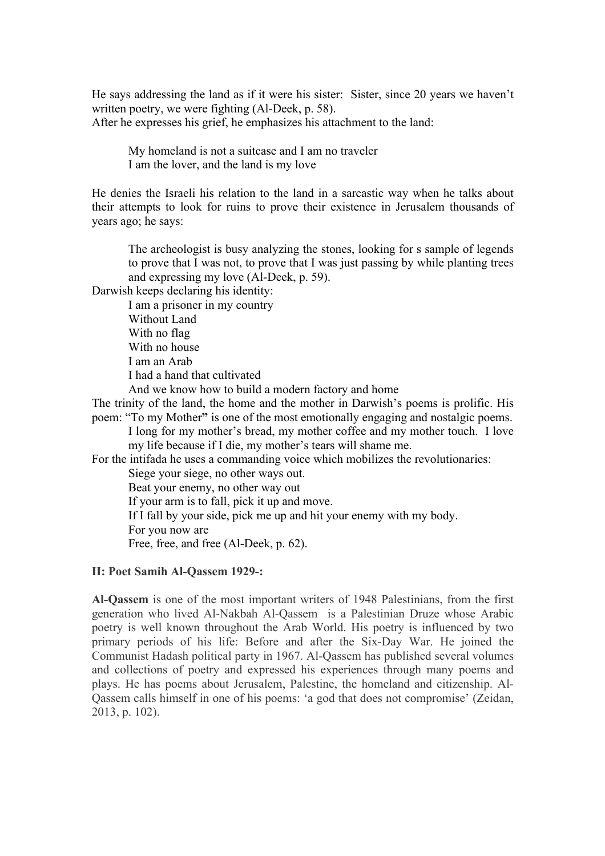He says addressing the land as if it were his sister: Sister, since 20 years we haven't written poetry, we were fighting (Al-Deek, p. 58). After he expresses his grief, he emphasizes his attachment to the land:

My homeland is not a suitcase and I am no traveler I am the lover, and the land is my love

He denies the Israeli his relation to the land in a sarcastic way when he talks about their attempts to look for ruins to prove their existence in Jerusalem thousands of years ago; he says:

The archeologist is busy analyzing the stones, looking for s sample of legends to prove that I was not, to prove that I was just passing by while planting trees and expressing my love (Al-Deek, p. 59).

Darwish keeps declaring his identity:

I am a prisoner in my country Without Land With no flag With no house I am an Arab I had a hand that cultivated

And we know how to build a modern factory and home

The trinity of the land, the home and the mother in Darwish's poems is prolific. His poem: "To my Mother**"** is one of the most emotionally engaging and nostalgic poems.

I long for my mother's bread, my mother coffee and my mother touch. I love my life because if I die, my mother's tears will shame me.

For the intifada he uses a commanding voice which mobilizes the revolutionaries: Siege your siege, no other ways out.

Beat your enemy, no other way out

If your arm is to fall, pick it up and move.

If I fall by your side, pick me up and hit your enemy with my body.

For you now are

Free, free, and free (Al-Deek, p. 62).

### **II: Poet Samih Al-Qassem 1929-:**

**Al-Qassem** is one of the most important writers of 1948 Palestinians, from the first generation who lived Al-Nakbah Al-Qassem is a Palestinian Druze whose Arabic poetry is well known throughout the Arab World. His poetry is influenced by two primary periods of his life: Before and after the Six-Day War. He joined the Communist Hadash political party in 1967. Al-Qassem has published several volumes and collections of poetry and expressed his experiences through many poems and plays. He has poems about Jerusalem, Palestine, the homeland and citizenship. Al-Qassem calls himself in one of his poems: 'a god that does not compromise' (Zeidan, 2013, p. 102).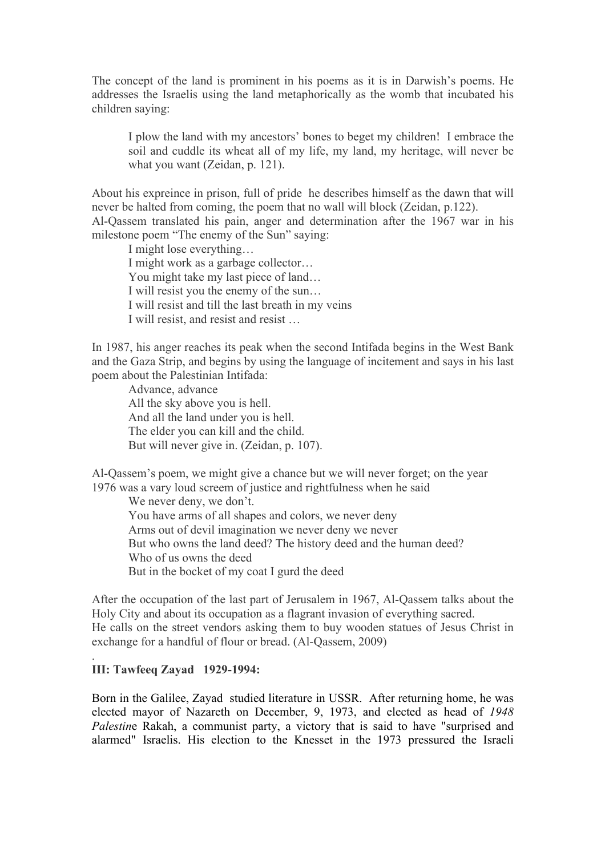The concept of the land is prominent in his poems as it is in Darwish's poems. He addresses the Israelis using the land metaphorically as the womb that incubated his children saying:

I plow the land with my ancestors' bones to beget my children! I embrace the soil and cuddle its wheat all of my life, my land, my heritage, will never be what you want (Zeidan, p. 121).

About his expreince in prison, full of pride he describes himself as the dawn that will never be halted from coming, the poem that no wall will block (Zeidan, p.122). Al-Qassem translated his pain, anger and determination after the 1967 war in his milestone poem "The enemy of the Sun" saying:

I might lose everything… I might work as a garbage collector… You might take my last piece of land… I will resist you the enemy of the sun… I will resist and till the last breath in my veins I will resist, and resist and resist …

In 1987, his anger reaches its peak when the second Intifada begins in the West Bank and the Gaza Strip, and begins by using the language of incitement and says in his last poem about the Palestinian Intifada:

Advance, advance All the sky above you is hell. And all the land under you is hell. The elder you can kill and the child. But will never give in. (Zeidan, p. 107).

Al-Qassem's poem, we might give a chance but we will never forget; on the year 1976 was a vary loud screem of justice and rightfulness when he said

We never deny, we don't. You have arms of all shapes and colors, we never deny Arms out of devil imagination we never deny we never But who owns the land deed? The history deed and the human deed? Who of us owns the deed But in the bocket of my coat I gurd the deed

After the occupation of the last part of Jerusalem in 1967, Al-Qassem talks about the Holy City and about its occupation as a flagrant invasion of everything sacred. He calls on the street vendors asking them to buy wooden statues of Jesus Christ in exchange for a handful of flour or bread. (Al-Qassem, 2009)

#### **III: Tawfeeq Zayad 1929-1994:**

.

Born in the Galilee, Zayad studied literature in USSR. After returning home, he was elected mayor of Nazareth on December, 9, 1973, and elected as head of *1948 Palestin*e Rakah, a communist party, a victory that is said to have "surprised and alarmed" Israelis. His election to the Knesset in the 1973 pressured the Israeli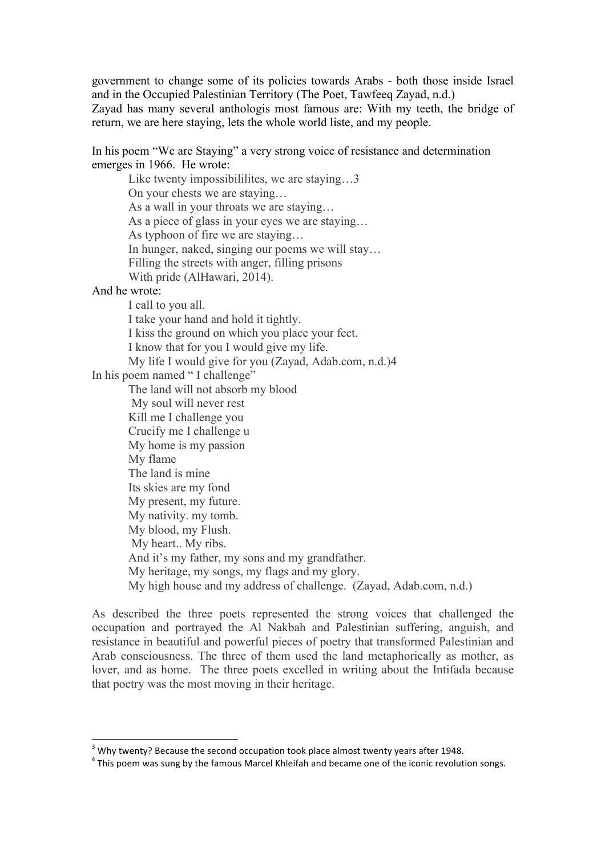government to change some of its policies towards Arabs - both those inside Israel and in the Occupied Palestinian Territory (The Poet, Tawfeeq Zayad, n.d.) Zayad has many several anthologis most famous are: With my teeth, the bridge of

return, we are here staying, lets the whole world liste, and my people.

In his poem "We are Staying" a very strong voice of resistance and determination emerges in 1966. He wrote:

Like twenty impossibililites, we are staying...3 On your chests we are staying… As a wall in your throats we are staying… As a piece of glass in your eyes we are staying… As typhoon of fire we are staying… In hunger, naked, singing our poems we will stay… Filling the streets with anger, filling prisons With pride (AlHawari, 2014).

#### And he wrote:

I call to you all. I take your hand and hold it tightly. I kiss the ground on which you place your feet. I know that for you I would give my life. My life I would give for you (Zayad, Adab.com, n.d.)4 In his poem named " I challenge" The land will not absorb my blood My soul will never rest Kill me I challenge you Crucify me I challenge u My home is my passion My flame The land is mine Its skies are my fond My present, my future. My nativity. my tomb. My blood, my Flush. My heart.. My ribs. And it's my father, my sons and my grandfather. My heritage, my songs, my flags and my glory. My high house and my address of challenge. (Zayad, Adab.com, n.d.)

As described the three poets represented the strong voices that challenged the occupation and portrayed the Al Nakbah and Palestinian suffering, anguish, and resistance in beautiful and powerful pieces of poetry that transformed Palestinian and Arab consciousness. The three of them used the land metaphorically as mother, as lover, and as home. The three poets excelled in writing about the Intifada because that poetry was the most moving in their heritage.

 

 $3$  Why twenty? Because the second occupation took place almost twenty years after 1948.

 $4$  This poem was sung by the famous Marcel Khleifah and became one of the iconic revolution songs.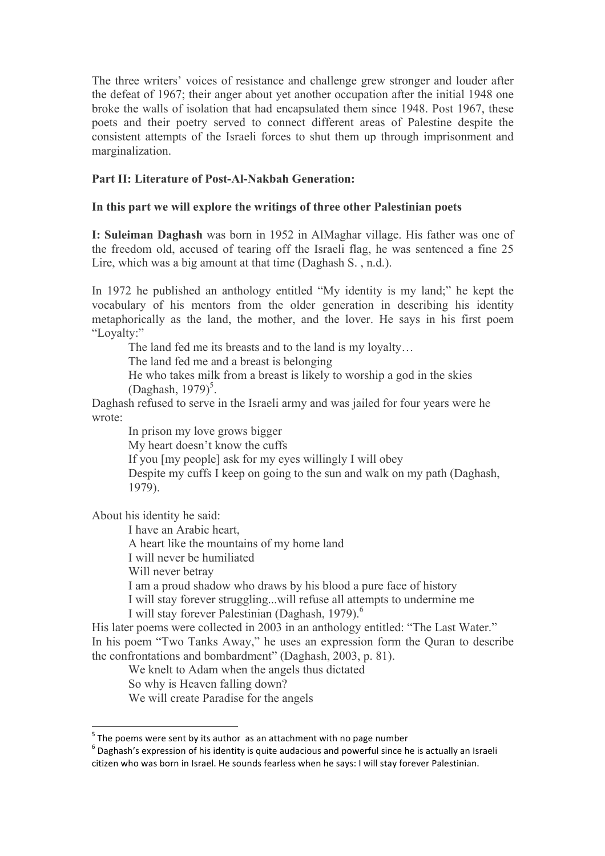The three writers' voices of resistance and challenge grew stronger and louder after the defeat of 1967; their anger about yet another occupation after the initial 1948 one broke the walls of isolation that had encapsulated them since 1948. Post 1967, these poets and their poetry served to connect different areas of Palestine despite the consistent attempts of the Israeli forces to shut them up through imprisonment and marginalization.

## **Part II: Literature of Post-Al-Nakbah Generation:**

## **In this part we will explore the writings of three other Palestinian poets**

**I: Suleiman Daghash** was born in 1952 in AlMaghar village. His father was one of the freedom old, accused of tearing off the Israeli flag, he was sentenced a fine 25 Lire, which was a big amount at that time (Daghash S., n.d.).

In 1972 he published an anthology entitled "My identity is my land;" he kept the vocabulary of his mentors from the older generation in describing his identity metaphorically as the land, the mother, and the lover. He says in his first poem "Loyalty:"

The land fed me its breasts and to the land is my loyalty…

The land fed me and a breast is belonging

He who takes milk from a breast is likely to worship a god in the skies  $(Daghash, 1979)^5$ .

Daghash refused to serve in the Israeli army and was jailed for four years were he wrote:

In prison my love grows bigger

My heart doesn't know the cuffs

If you [my people] ask for my eyes willingly I will obey

Despite my cuffs I keep on going to the sun and walk on my path (Daghash, 1979).

About his identity he said:

I have an Arabic heart,

A heart like the mountains of my home land

I will never be humiliated

Will never betray

<u> 1989 - Johann Stein, mars et al. 1989 - Anna ann an t-Anna ann an t-Anna ann an t-Anna ann an t-Anna ann an t-</u>

I am a proud shadow who draws by his blood a pure face of history

I will stay forever struggling...will refuse all attempts to undermine me I will stay forever Palestinian (Daghash, 1979). $<sup>6</sup>$ </sup>

His later poems were collected in 2003 in an anthology entitled: "The Last Water." In his poem "Two Tanks Away," he uses an expression form the Quran to describe the confrontations and bombardment" (Daghash, 2003, p. 81).

We knelt to Adam when the angels thus dictated

So why is Heaven falling down?

We will create Paradise for the angels

 $5$  The poems were sent by its author as an attachment with no page number

 $6$  Daghash's expression of his identity is quite audacious and powerful since he is actually an Israeli citizen who was born in Israel. He sounds fearless when he says: I will stay forever Palestinian.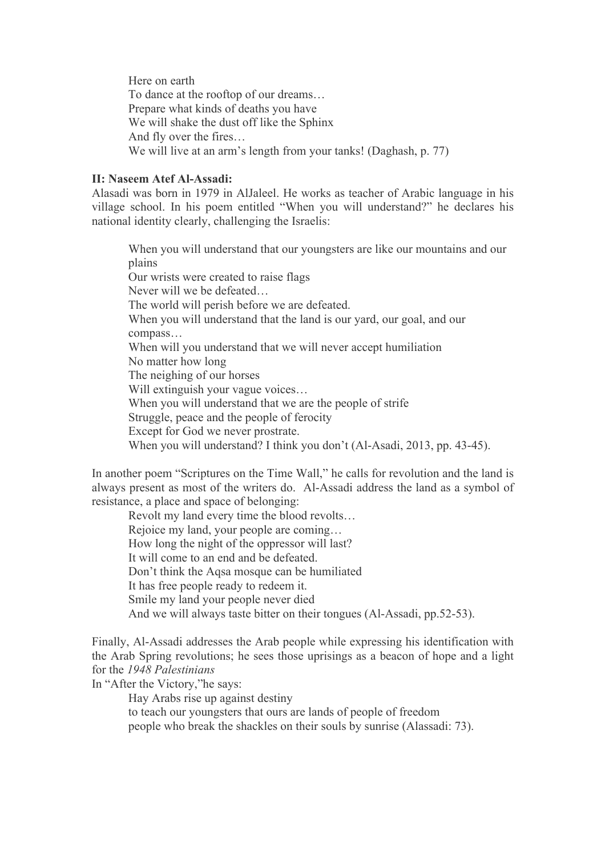Here on earth To dance at the rooftop of our dreams… Prepare what kinds of deaths you have We will shake the dust off like the Sphinx And fly over the fires… We will live at an arm's length from your tanks! (Daghash, p. 77)

#### **II: Naseem Atef Al-Assadi:**

Alasadi was born in 1979 in AlJaleel. He works as teacher of Arabic language in his village school. In his poem entitled "When you will understand?" he declares his national identity clearly, challenging the Israelis:

When you will understand that our youngsters are like our mountains and our plains Our wrists were created to raise flags Never will we be defeated… The world will perish before we are defeated. When you will understand that the land is our yard, our goal, and our compass… When will you understand that we will never accept humiliation No matter how long The neighing of our horses Will extinguish your vague voices… When you will understand that we are the people of strife Struggle, peace and the people of ferocity Except for God we never prostrate. When you will understand? I think you don't (Al-Asadi, 2013, pp. 43-45).

In another poem "Scriptures on the Time Wall," he calls for revolution and the land is always present as most of the writers do. Al-Assadi address the land as a symbol of resistance, a place and space of belonging:

Revolt my land every time the blood revolts… Rejoice my land, your people are coming… How long the night of the oppressor will last? It will come to an end and be defeated. Don't think the Aqsa mosque can be humiliated It has free people ready to redeem it. Smile my land your people never died And we will always taste bitter on their tongues (Al-Assadi, pp.52-53).

Finally, Al-Assadi addresses the Arab people while expressing his identification with the Arab Spring revolutions; he sees those uprisings as a beacon of hope and a light for the *1948 Palestinians*

In "After the Victory,"he says:

Hay Arabs rise up against destiny

to teach our youngsters that ours are lands of people of freedom

people who break the shackles on their souls by sunrise (Alassadi: 73).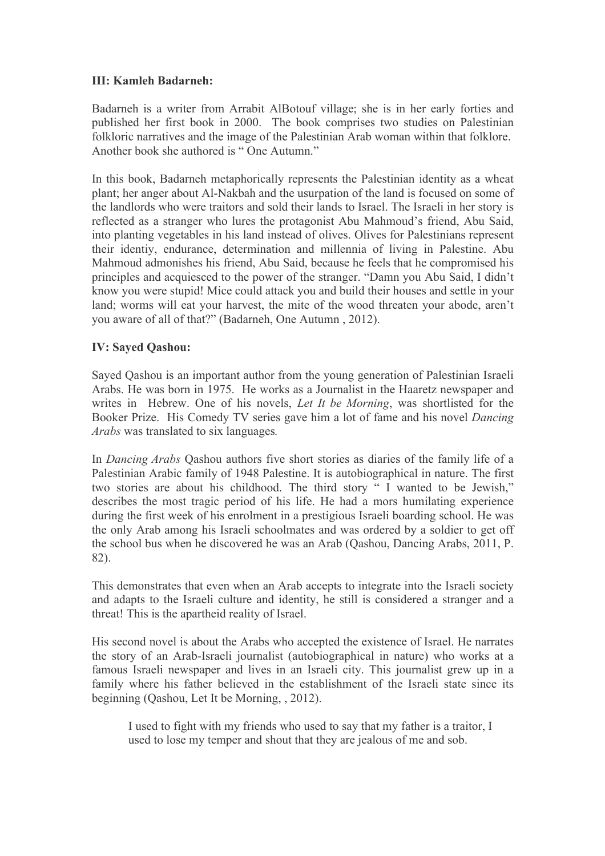# **III: Kamleh Badarneh:**

Badarneh is a writer from Arrabit AlBotouf village; she is in her early forties and published her first book in 2000. The book comprises two studies on Palestinian folkloric narratives and the image of the Palestinian Arab woman within that folklore. Another book she authored is " One Autumn."

In this book, Badarneh metaphorically represents the Palestinian identity as a wheat plant; her anger about Al-Nakbah and the usurpation of the land is focused on some of the landlords who were traitors and sold their lands to Israel. The Israeli in her story is reflected as a stranger who lures the protagonist Abu Mahmoud's friend, Abu Said, into planting vegetables in his land instead of olives. Olives for Palestinians represent their identiy, endurance, determination and millennia of living in Palestine. Abu Mahmoud admonishes his friend, Abu Said, because he feels that he compromised his principles and acquiesced to the power of the stranger. "Damn you Abu Said, I didn't know you were stupid! Mice could attack you and build their houses and settle in your land; worms will eat your harvest, the mite of the wood threaten your abode, aren't you aware of all of that?" (Badarneh, One Autumn , 2012).

# **IV: Sayed Qashou:**

Sayed Qashou is an important author from the young generation of Palestinian Israeli Arabs. He was born in 1975. He works as a Journalist in the Haaretz newspaper and writes in Hebrew. One of his novels, *Let It be Morning*, was shortlisted for the Booker Prize. His Comedy TV series gave him a lot of fame and his novel *Dancing Arabs* was translated to six languages*.*

In *Dancing Arabs* Qashou authors five short stories as diaries of the family life of a Palestinian Arabic family of 1948 Palestine. It is autobiographical in nature. The first two stories are about his childhood. The third story " I wanted to be Jewish," describes the most tragic period of his life. He had a mors humilating experience during the first week of his enrolment in a prestigious Israeli boarding school. He was the only Arab among his Israeli schoolmates and was ordered by a soldier to get off the school bus when he discovered he was an Arab (Qashou, Dancing Arabs, 2011, P. 82).

This demonstrates that even when an Arab accepts to integrate into the Israeli society and adapts to the Israeli culture and identity, he still is considered a stranger and a threat! This is the apartheid reality of Israel.

His second novel is about the Arabs who accepted the existence of Israel. He narrates the story of an Arab-Israeli journalist (autobiographical in nature) who works at a famous Israeli newspaper and lives in an Israeli city. This journalist grew up in a family where his father believed in the establishment of the Israeli state since its beginning (Qashou, Let It be Morning, , 2012).

I used to fight with my friends who used to say that my father is a traitor, I used to lose my temper and shout that they are jealous of me and sob.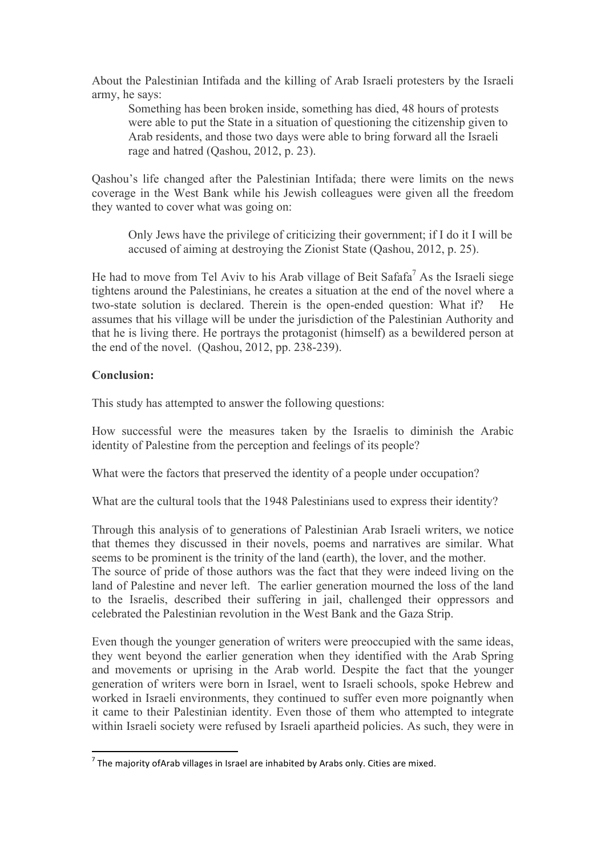About the Palestinian Intifada and the killing of Arab Israeli protesters by the Israeli army, he says:

Something has been broken inside, something has died, 48 hours of protests were able to put the State in a situation of questioning the citizenship given to Arab residents, and those two days were able to bring forward all the Israeli rage and hatred (Qashou, 2012, p. 23).

Qashou's life changed after the Palestinian Intifada; there were limits on the news coverage in the West Bank while his Jewish colleagues were given all the freedom they wanted to cover what was going on:

Only Jews have the privilege of criticizing their government; if I do it I will be accused of aiming at destroying the Zionist State (Qashou, 2012, p. 25).

He had to move from Tel Aviv to his Arab village of Beit Safafa<sup>7</sup> As the Israeli siege tightens around the Palestinians, he creates a situation at the end of the novel where a two-state solution is declared. Therein is the open-ended question: What if? assumes that his village will be under the jurisdiction of the Palestinian Authority and that he is living there. He portrays the protagonist (himself) as a bewildered person at the end of the novel. (Qashou, 2012, pp. 238-239).

## **Conclusion:**

This study has attempted to answer the following questions:

How successful were the measures taken by the Israelis to diminish the Arabic identity of Palestine from the perception and feelings of its people?

What were the factors that preserved the identity of a people under occupation?

What are the cultural tools that the 1948 Palestinians used to express their identity?

Through this analysis of to generations of Palestinian Arab Israeli writers, we notice that themes they discussed in their novels, poems and narratives are similar. What seems to be prominent is the trinity of the land (earth), the lover, and the mother. The source of pride of those authors was the fact that they were indeed living on the

land of Palestine and never left. The earlier generation mourned the loss of the land to the Israelis, described their suffering in jail, challenged their oppressors and celebrated the Palestinian revolution in the West Bank and the Gaza Strip.

Even though the younger generation of writers were preoccupied with the same ideas, they went beyond the earlier generation when they identified with the Arab Spring and movements or uprising in the Arab world. Despite the fact that the younger generation of writers were born in Israel, went to Israeli schools, spoke Hebrew and worked in Israeli environments, they continued to suffer even more poignantly when it came to their Palestinian identity. Even those of them who attempted to integrate within Israeli society were refused by Israeli apartheid policies. As such, they were in

<u> 1989 - Johann Stein, mars et al. 1989 - Anna ann an t-Anna ann an t-Anna ann an t-Anna ann an t-Anna ann an t-</u>

 $<sup>7</sup>$  The majority of Arab villages in Israel are inhabited by Arabs only. Cities are mixed.</sup>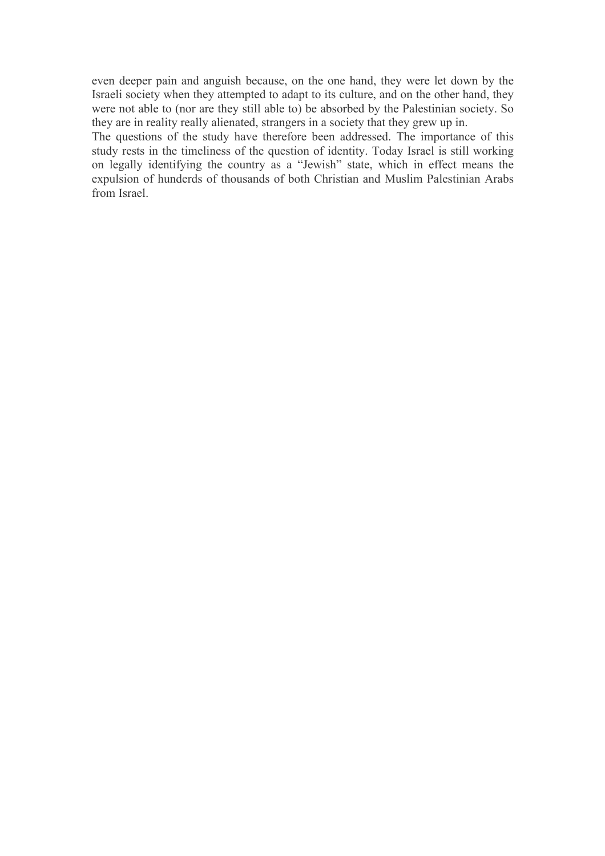even deeper pain and anguish because, on the one hand, they were let down by the Israeli society when they attempted to adapt to its culture, and on the other hand, they were not able to (nor are they still able to) be absorbed by the Palestinian society. So they are in reality really alienated, strangers in a society that they grew up in.

The questions of the study have therefore been addressed. The importance of this study rests in the timeliness of the question of identity. Today Israel is still working on legally identifying the country as a "Jewish" state, which in effect means the expulsion of hunderds of thousands of both Christian and Muslim Palestinian Arabs from Israel.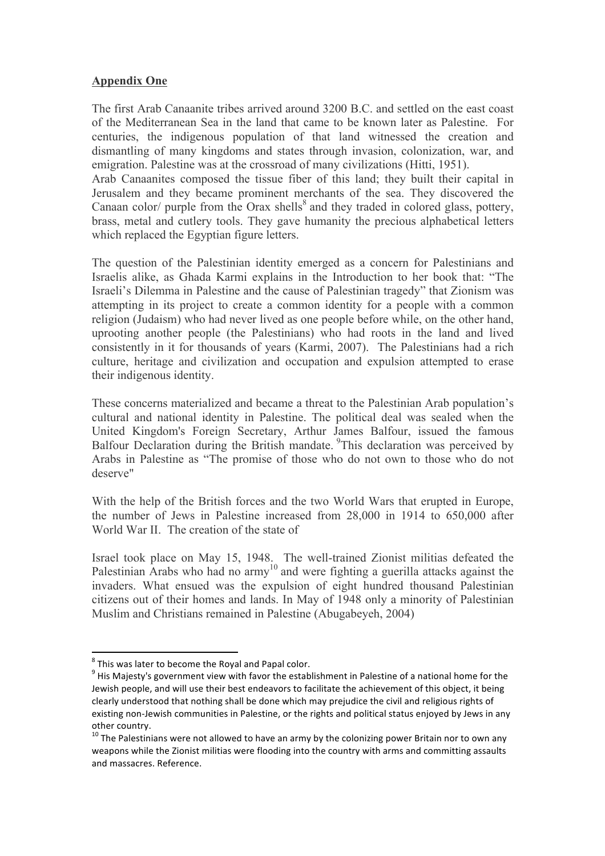## **Appendix One**

The first Arab Canaanite tribes arrived around 3200 B.C. and settled on the east coast of the Mediterranean Sea in the land that came to be known later as Palestine. For centuries, the indigenous population of that land witnessed the creation and dismantling of many kingdoms and states through invasion, colonization, war, and emigration. Palestine was at the crossroad of many civilizations (Hitti, 1951).

Arab Canaanites composed the tissue fiber of this land; they built their capital in Jerusalem and they became prominent merchants of the sea. They discovered the Canaan color/ purple from the Orax shells<sup>8</sup> and they traded in colored glass, pottery, brass, metal and cutlery tools. They gave humanity the precious alphabetical letters which replaced the Egyptian figure letters.

The question of the Palestinian identity emerged as a concern for Palestinians and Israelis alike, as Ghada Karmi explains in the Introduction to her book that: "The Israeli's Dilemma in Palestine and the cause of Palestinian tragedy" that Zionism was attempting in its project to create a common identity for a people with a common religion (Judaism) who had never lived as one people before while, on the other hand, uprooting another people (the Palestinians) who had roots in the land and lived consistently in it for thousands of years (Karmi, 2007). The Palestinians had a rich culture, heritage and civilization and occupation and expulsion attempted to erase their indigenous identity.

These concerns materialized and became a threat to the Palestinian Arab population's cultural and national identity in Palestine. The political deal was sealed when the United Kingdom's Foreign Secretary, Arthur James Balfour, issued the famous Balfour Declaration during the British mandate. <sup>9</sup>This declaration was perceived by Arabs in Palestine as "The promise of those who do not own to those who do not deserve"

With the help of the British forces and the two World Wars that erupted in Europe, the number of Jews in Palestine increased from 28,000 in 1914 to 650,000 after World War II. The creation of the state of

Israel took place on May 15, 1948. The well-trained Zionist militias defeated the Palestinian Arabs who had no army<sup>10</sup> and were fighting a guerilla attacks against the invaders. What ensued was the expulsion of eight hundred thousand Palestinian citizens out of their homes and lands. In May of 1948 only a minority of Palestinian Muslim and Christians remained in Palestine (Abugabeyeh, 2004)

<u> 1989 - Johann Stein, mars et al. 1989 - Anna ann an t-Anna ann an t-Anna ann an t-Anna ann an t-Anna ann an t-</u>

 $8$  This was later to become the Royal and Papal color.

 $9$  His Majesty's government view with favor the establishment in Palestine of a national home for the Jewish people, and will use their best endeavors to facilitate the achievement of this object, it being clearly understood that nothing shall be done which may prejudice the civil and religious rights of existing non-Jewish communities in Palestine, or the rights and political status enjoyed by Jews in any other country.<br>
<sup>10</sup> The Palestinians were not allowed to have an army by the colonizing power Britain nor to own any

weapons while the Zionist militias were flooding into the country with arms and committing assaults and massacres. Reference.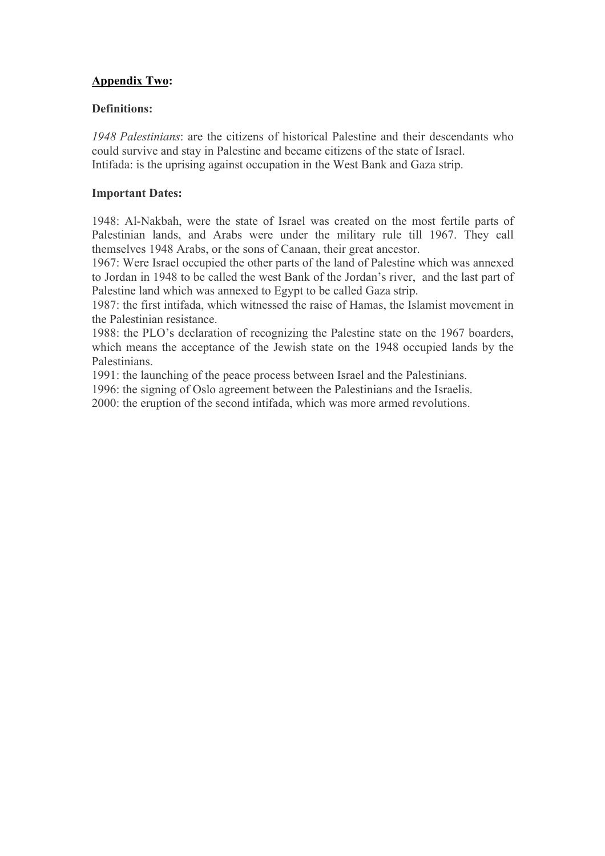# **Appendix Two:**

## **Definitions:**

*1948 Palestinians*: are the citizens of historical Palestine and their descendants who could survive and stay in Palestine and became citizens of the state of Israel. Intifada: is the uprising against occupation in the West Bank and Gaza strip.

## **Important Dates:**

1948: Al-Nakbah, were the state of Israel was created on the most fertile parts of Palestinian lands, and Arabs were under the military rule till 1967. They call themselves 1948 Arabs, or the sons of Canaan, their great ancestor.

1967: Were Israel occupied the other parts of the land of Palestine which was annexed to Jordan in 1948 to be called the west Bank of the Jordan's river, and the last part of Palestine land which was annexed to Egypt to be called Gaza strip.

1987: the first intifada, which witnessed the raise of Hamas, the Islamist movement in the Palestinian resistance.

1988: the PLO's declaration of recognizing the Palestine state on the 1967 boarders, which means the acceptance of the Jewish state on the 1948 occupied lands by the Palestinians.

1991: the launching of the peace process between Israel and the Palestinians.

1996: the signing of Oslo agreement between the Palestinians and the Israelis.

2000: the eruption of the second intifada, which was more armed revolutions.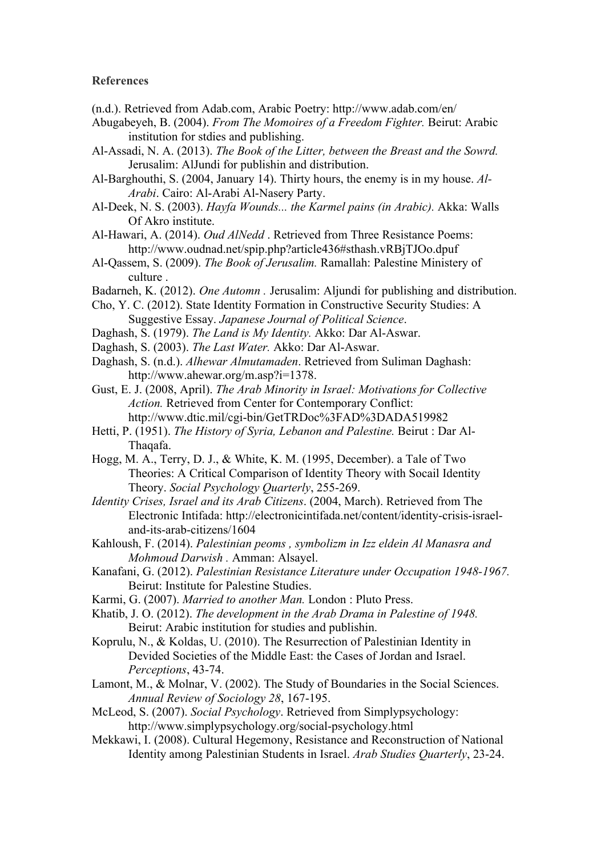#### **References**

- (n.d.). Retrieved from Adab.com, Arabic Poetry: http://www.adab.com/en/
- Abugabeyeh, B. (2004). *From The Momoires of a Freedom Fighter.* Beirut: Arabic institution for stdies and publishing.
- Al-Assadi, N. A. (2013). *The Book of the Litter, between the Breast and the Sowrd.* Jerusalim: AlJundi for publishin and distribution.
- Al-Barghouthi, S. (2004, January 14). Thirty hours, the enemy is in my house. *Al-Arabi*. Cairo: Al-Arabi Al-Nasery Party.
- Al-Deek, N. S. (2003). *Hayfa Wounds... the Karmel pains (in Arabic).* Akka: Walls Of Akro institute.
- Al-Hawari, A. (2014). *Oud AlNedd* . Retrieved from Three Resistance Poems: http://www.oudnad.net/spip.php?article436#sthash.vRBjTJOo.dpuf
- Al-Qassem, S. (2009). *The Book of Jerusalim.* Ramallah: Palestine Ministery of culture .
- Badarneh, K. (2012). *One Automn .* Jerusalim: Aljundi for publishing and distribution.
- Cho, Y. C. (2012). State Identity Formation in Constructive Security Studies: A Suggestive Essay. *Japanese Journal of Political Science*.
- Daghash, S. (1979). *The Land is My Identity.* Akko: Dar Al-Aswar.
- Daghash, S. (2003). *The Last Water.* Akko: Dar Al-Aswar.
- Daghash, S. (n.d.). *Alhewar Almutamaden*. Retrieved from Suliman Daghash: http://www.ahewar.org/m.asp?i=1378.
- Gust, E. J. (2008, April). *The Arab Minority in Israel: Motivations for Collective Action.* Retrieved from Center for Contemporary Conflict: http://www.dtic.mil/cgi-bin/GetTRDoc%3FAD%3DADA519982
- Hetti, P. (1951). *The History of Syria, Lebanon and Palestine.* Beirut : Dar Al-Thaqafa.
- Hogg, M. A., Terry, D. J., & White, K. M. (1995, December). a Tale of Two Theories: A Critical Comparison of Identity Theory with Socail Identity Theory. *Social Psychology Quarterly*, 255-269.
- *Identity Crises, Israel and its Arab Citizens*. (2004, March). Retrieved from The Electronic Intifada: http://electronicintifada.net/content/identity-crisis-israeland-its-arab-citizens/1604
- Kahloush, F. (2014). *Palestinian peoms , symbolizm in Izz eldein Al Manasra and Mohmoud Darwish .* Amman: Alsayel.
- Kanafani, G. (2012). *Palestinian Resistance Literature under Occupation 1948-1967.* Beirut: Institute for Palestine Studies.
- Karmi, G. (2007). *Married to another Man.* London : Pluto Press.
- Khatib, J. O. (2012). *The development in the Arab Drama in Palestine of 1948.* Beirut: Arabic institution for studies and publishin.
- Koprulu, N., & Koldas, U. (2010). The Resurrection of Palestinian Identity in Devided Societies of the Middle East: the Cases of Jordan and Israel. *Perceptions*, 43-74.
- Lamont, M., & Molnar, V. (2002). The Study of Boundaries in the Social Sciences. *Annual Review of Sociology 28*, 167-195.
- McLeod, S. (2007). *Social Psychology*. Retrieved from Simplypsychology: http://www.simplypsychology.org/social-psychology.html
- Mekkawi, I. (2008). Cultural Hegemony, Resistance and Reconstruction of National Identity among Palestinian Students in Israel. *Arab Studies Quarterly*, 23-24.